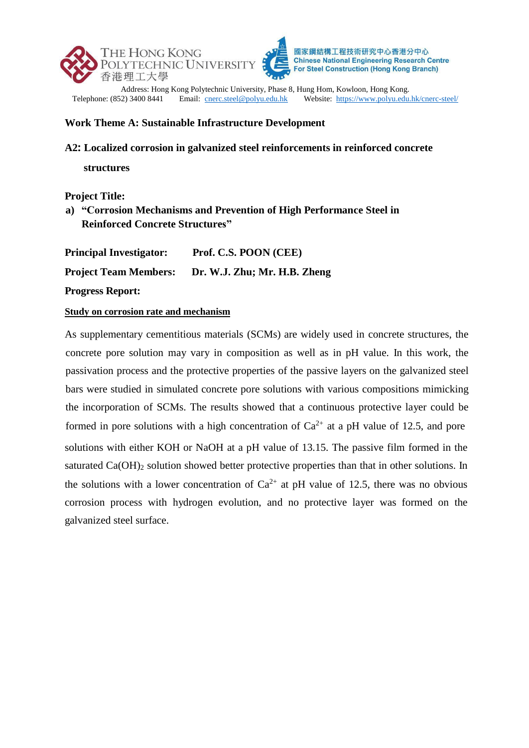



**Chinese National Engineering Research Centre** For Steel Construction (Hong Kong Branch)

Address: Hong Kong Polytechnic University, Phase 8, Hung Hom, Kowloon, Hong Kong.<br>Telephone: (852) 3400 8441 Email: cnerc.steel@polyu.edu.hk Website: https://www.polyu.edu. Website:<https://www.polyu.edu.hk/cnerc-steel/>

#### **Work Theme A: Sustainable Infrastructure Development**

**A2: Localized corrosion in galvanized steel reinforcements in reinforced concrete** 

**structures**

### **Project Title:**

# **a) "Corrosion Mechanisms and Prevention of High Performance Steel in Reinforced Concrete Structures"**

**Principal Investigator: Prof. C.S. POON (CEE)** 

**Project Team Members: Dr. W.J. Zhu; Mr. H.B. Zheng** 

**Progress Report:**

#### **Study on corrosion rate and mechanism**

As supplementary cementitious materials (SCMs) are widely used in concrete structures, the concrete pore solution may vary in composition as well as in pH value. In this work, the passivation process and the protective properties of the passive layers on the galvanized steel bars were studied in simulated concrete pore solutions with various compositions mimicking the incorporation of SCMs. The results showed that a continuous protective layer could be formed in pore solutions with a high concentration of  $Ca^{2+}$  at a pH value of 12.5, and pore solutions with either KOH or NaOH at a pH value of 13.15. The passive film formed in the saturated  $Ca(OH)_2$  solution showed better protective properties than that in other solutions. In the solutions with a lower concentration of  $Ca^{2+}$  at pH value of 12.5, there was no obvious corrosion process with hydrogen evolution, and no protective layer was formed on the galvanized steel surface.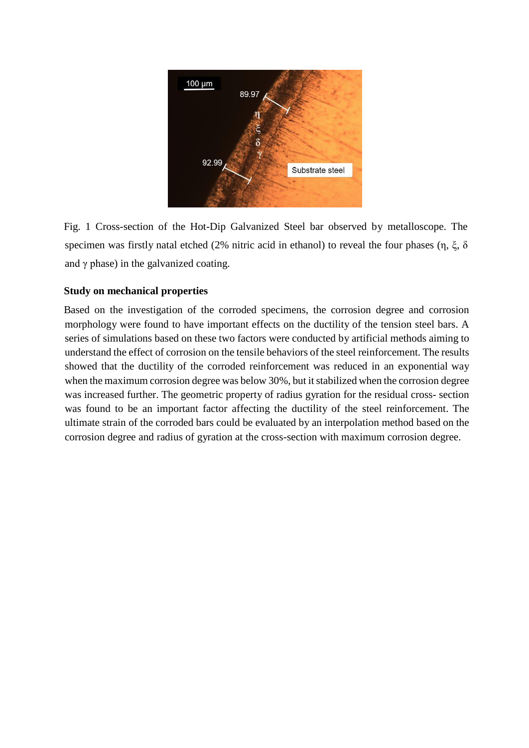

Fig. 1 Cross-section of the Hot-Dip Galvanized Steel bar observed by metalloscope. The specimen was firstly natal etched (2% nitric acid in ethanol) to reveal the four phases (η, ξ, δ and  $\gamma$  phase) in the galvanized coating.

### **Study on mechanical properties**

Based on the investigation of the corroded specimens, the corrosion degree and corrosion morphology were found to have important effects on the ductility of the tension steel bars. A series of simulations based on these two factors were conducted by artificial methods aiming to understand the effect of corrosion on the tensile behaviors of the steel reinforcement. The results showed that the ductility of the corroded reinforcement was reduced in an exponential way when the maximum corrosion degree was below 30%, but it stabilized when the corrosion degree was increased further. The geometric property of radius gyration for the residual cross- section was found to be an important factor affecting the ductility of the steel reinforcement. The ultimate strain of the corroded bars could be evaluated by an interpolation method based on the corrosion degree and radius of gyration at the cross-section with maximum corrosion degree.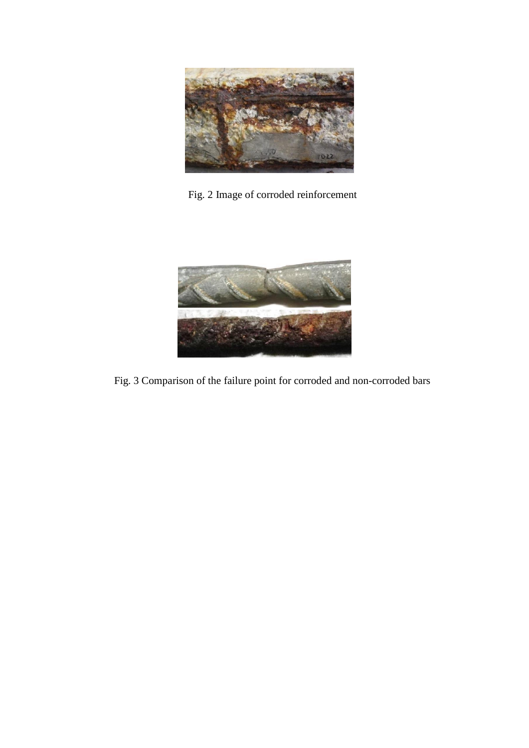

Fig. 2 Image of corroded reinforcement



Fig. 3 Comparison of the failure point for corroded and non-corroded bars